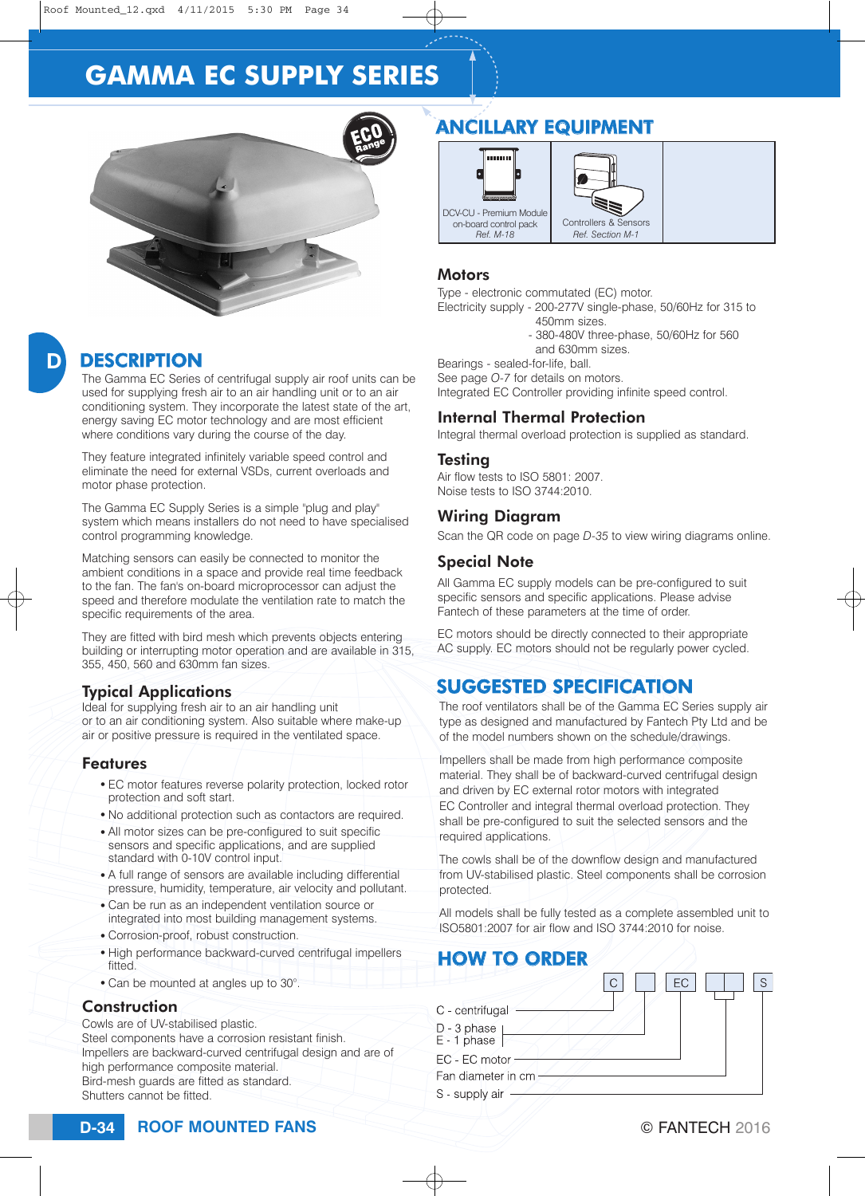# **GAMMA EC SUPPLY SERIES**



# D

## **DESCRIPTION**

The Gamma EC Series of centrifugal supply air roof units can be used for supplying fresh air to an air handling unit or to an air conditioning system. They incorporate the latest state of the art, energy saving EC motor technology and are most efficient where conditions vary during the course of the day.

They feature integrated infinitely variable speed control and eliminate the need for external VSDs, current overloads and motor phase protection.

The Gamma EC Supply Series is a simple "plug and play" system which means installers do not need to have specialised control programming knowledge.

Matching sensors can easily be connected to monitor the ambient conditions in a space and provide real time feedback to the fan. The fan's on-board microprocessor can adjust the speed and therefore modulate the ventilation rate to match the specific requirements of the area.

They are fitted with bird mesh which prevents objects entering building or interrupting motor operation and are available in 315, 355, 450, 560 and 630mm fan sizes.

#### Typical Applications

Ideal for supplying fresh air to an air handling unit or to an air conditioning system. Also suitable where make-up air or positive pressure is required in the ventilated space.

#### Features

- EC motor features reverse polarity protection, locked rotor protection and soft start.
- No additional protection such as contactors are required.
- All motor sizes can be pre-configured to suit specific sensors and specific applications, and are supplied standard with 0-10V control input.
- A full range of sensors are available including differential pressure, humidity, temperature, air velocity and pollutant.
- Can be run as an independent ventilation source or integrated into most building management systems.
- Corrosion-proof, robust construction.
- High performance backward-curved centrifugal impellers fitted.
- Can be mounted at angles up to 30°.

### **Construction**

Cowls are of UV-stabilised plastic.

Steel components have a corrosion resistant finish. Impellers are backward-curved centrifugal design and are of high performance composite material. Bird-mesh guards are fitted as standard. Shutters cannot be fitted.

# ANCILLARY EQUIPMENT



#### **Motors**

Type - electronic commutated (EC) motor. Electricity supply - 200-277V single-phase, 50/60Hz for 315 to

- 450mm sizes.
- 380-480V three-phase, 50/60Hz for 560 and 630mm sizes.

Bearings - sealed-for-life, ball.

See page *O-7* for details on motors. Integrated EC Controller providing infinite speed control.

### Internal Thermal Protection

Integral thermal overload protection is supplied as standard.

#### Testing

Air flow tests to ISO 5801: 2007. Noise tests to ISO 3744:2010.

### Wiring Diagram

Scan the QR code on page *D-35* to view wiring diagrams online.

### Special Note

All Gamma EC supply models can be pre-configured to suit specific sensors and specific applications. Please advise Fantech of these parameters at the time of order.

EC motors should be directly connected to their appropriate AC supply. EC motors should not be regularly power cycled.

# SUGGESTED SPECIFICATION

The roof ventilators shall be of the Gamma EC Series supply air type as designed and manufactured by Fantech Pty Ltd and be of the model numbers shown on the schedule/drawings.

Impellers shall be made from high performance composite material. They shall be of backward-curved centrifugal design and driven by EC external rotor motors with integrated EC Controller and integral thermal overload protection. They shall be pre-configured to suit the selected sensors and the required applications.

The cowls shall be of the downflow design and manufactured from UV-stabilised plastic. Steel components shall be corrosion protected.

All models shall be fully tested as a complete assembled unit to ISO5801:2007 for air flow and ISO 3744:2010 for noise.

# HOW TO ORDER

| FC.                        |  |
|----------------------------|--|
| C - centrifugal            |  |
| D - 3 phase<br>E - 1 phase |  |
| EC - EC motor              |  |
| Fan diameter in cm         |  |
| S - supply air             |  |
|                            |  |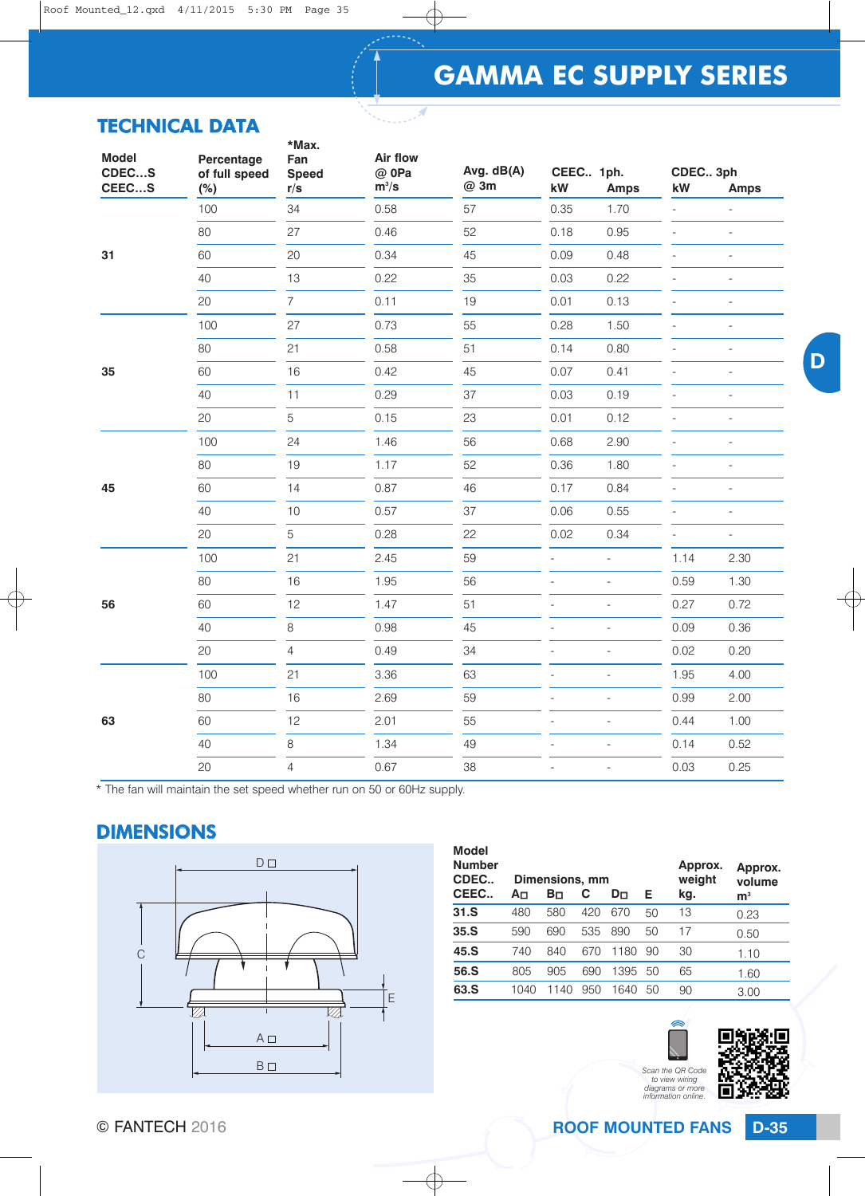# **GAMMA EC SUPPLY SERIES**

## TECHNICAL DATA

| <b>Model</b><br>CDECS | Percentage<br>of full speed | *Max.<br>Fan<br><b>Speed</b> | Air flow<br>@ 0Pa | Avg. dB(A) | CEEC 1ph.                |                                                                                                                                                                                                                                                                                                                                                                                                                                                        | CDEC 3ph       |                          |
|-----------------------|-----------------------------|------------------------------|-------------------|------------|--------------------------|--------------------------------------------------------------------------------------------------------------------------------------------------------------------------------------------------------------------------------------------------------------------------------------------------------------------------------------------------------------------------------------------------------------------------------------------------------|----------------|--------------------------|
| CEECS                 | (%)                         | r/s                          | $m^3/s$           | @ 3m       | kW                       |                                                                                                                                                                                                                                                                                                                                                                                                                                                        | kW             | <b>Amps</b>              |
|                       | 100                         | 34                           | 0.58              | 57         | 0.35                     |                                                                                                                                                                                                                                                                                                                                                                                                                                                        |                | $\overline{a}$           |
|                       | 80                          | 27                           | 0.46              | 52         | 0.18                     |                                                                                                                                                                                                                                                                                                                                                                                                                                                        | $\overline{a}$ | $\overline{\phantom{a}}$ |
| 31                    | 60                          | 20                           | 0.34              | 45         | 0.09                     | 0.48                                                                                                                                                                                                                                                                                                                                                                                                                                                   |                | $\overline{a}$           |
|                       | 40                          | 13                           | 0.22              | 35         | 0.03                     | 0.22                                                                                                                                                                                                                                                                                                                                                                                                                                                   | $\overline{a}$ | $\overline{\phantom{0}}$ |
|                       | 20                          | $\overline{7}$               | 0.11              | 19         | 0.01                     | <b>Amps</b><br>1.70<br>$\overline{a}$<br>0.95<br>0.13<br>$\overline{a}$<br>1.50<br>$\overline{a}$<br>0.80<br>$\overline{\phantom{a}}$<br>0.41<br>$\overline{a}$<br>0.19<br>0.12<br>$\overline{\phantom{a}}$<br>2.90<br>$\overline{a}$<br>1.80<br>$\overline{a}$<br>0.84<br>$\overline{a}$<br>0.55<br>$\overline{a}$<br>0.34<br>$\overline{a}$<br>$\overline{a}$<br>$\overline{\phantom{a}}$<br>$\bar{\phantom{a}}$<br>$\overline{a}$<br>$\overline{a}$ |                | $\overline{\phantom{0}}$ |
|                       | 100                         | 27                           | 0.73              | 55         | 0.28                     |                                                                                                                                                                                                                                                                                                                                                                                                                                                        |                | $\overline{\phantom{0}}$ |
|                       | 80                          | 21                           | 0.58              | 51         | 0.14                     |                                                                                                                                                                                                                                                                                                                                                                                                                                                        |                | $\overline{\phantom{m}}$ |
| 35<br>45              | 60                          | 16                           | 0.42              | 45         | 0.07                     |                                                                                                                                                                                                                                                                                                                                                                                                                                                        |                | $\overline{a}$           |
|                       | 40                          | 11                           | 0.29              | 37         | 0.03                     |                                                                                                                                                                                                                                                                                                                                                                                                                                                        |                | $\overline{a}$           |
|                       | 20                          | 5                            | 0.15              | 23         | 0.01                     |                                                                                                                                                                                                                                                                                                                                                                                                                                                        |                | $\overline{\phantom{0}}$ |
|                       | 100                         | 24                           | 1.46              | 56         | 0.68                     |                                                                                                                                                                                                                                                                                                                                                                                                                                                        |                | $\overline{a}$           |
|                       | 80                          | 19                           | 1.17              | 52         | 0.36                     |                                                                                                                                                                                                                                                                                                                                                                                                                                                        |                | $\overline{a}$           |
|                       | 60                          | 14                           | 0.87              | 46         | 0.17                     |                                                                                                                                                                                                                                                                                                                                                                                                                                                        |                | $\overline{\phantom{0}}$ |
|                       | 40                          | $10$                         | 0.57              | 37         | 0.06                     |                                                                                                                                                                                                                                                                                                                                                                                                                                                        |                | $\overline{a}$           |
|                       | 20                          | 5                            | 0.28              | 22         | 0.02                     |                                                                                                                                                                                                                                                                                                                                                                                                                                                        |                | $\overline{\phantom{a}}$ |
|                       | 100                         | 21                           | 2.45              | 59         |                          |                                                                                                                                                                                                                                                                                                                                                                                                                                                        | 1.14           | 2.30                     |
|                       | 80                          | 16                           | 1.95              | 56         |                          |                                                                                                                                                                                                                                                                                                                                                                                                                                                        | 0.59           | 1.30                     |
| 56                    | 60                          | 12                           | 1.47              | 51         | $\overline{\phantom{0}}$ |                                                                                                                                                                                                                                                                                                                                                                                                                                                        | 0.27           | 0.72                     |
|                       | 40                          | 8                            | 0.98              | 45         |                          |                                                                                                                                                                                                                                                                                                                                                                                                                                                        | 0.09           | 0.36                     |
|                       | 20                          | 4                            | 0.49              | 34         | $\overline{a}$           |                                                                                                                                                                                                                                                                                                                                                                                                                                                        | 0.02           | 0.20                     |
|                       | 100                         | 21                           | 3.36              | 63         | $\overline{a}$           | $\overline{\phantom{a}}$                                                                                                                                                                                                                                                                                                                                                                                                                               | 1.95           | 4.00                     |
|                       | 80                          | 16                           | 2.69              | 59         | $\overline{a}$           | $\overline{a}$                                                                                                                                                                                                                                                                                                                                                                                                                                         | 0.99           | 2.00                     |
| 63                    | 60                          | 12                           | 2.01              | 55         | $\overline{a}$           | $\overline{a}$                                                                                                                                                                                                                                                                                                                                                                                                                                         | 0.44           | 1.00                     |
|                       | 40                          | 8                            | 1.34              | 49         |                          | $\overline{a}$                                                                                                                                                                                                                                                                                                                                                                                                                                         | 0.14           | 0.52                     |
|                       | 20                          | $\overline{4}$               | 0.67              | 38         | $\overline{\phantom{0}}$ | $\overline{\phantom{0}}$                                                                                                                                                                                                                                                                                                                                                                                                                               | 0.03           | 0.25                     |

\* The fan will maintain the set speed whether run on 50 or 60Hz supply.

## DIMENSIONS



| <b>Model</b><br><b>Number</b><br>CDEC | Dimensions, mm |      |     |      |    | Approx.<br>weight | Approx.<br>volume |
|---------------------------------------|----------------|------|-----|------|----|-------------------|-------------------|
| CEEC                                  | A⊓             | Bп   | С   | Dп   | Е  | kg.               | ${\sf m}^3$       |
| 31.S                                  | 480            | 580  | 420 | 670  | 50 | 13                | 0.23              |
| 35.S                                  | 590            | 690  | 535 | 890  | 50 | 17                | 0.50              |
| 45.S                                  | 740            | 840  | 670 | 1180 | 90 | 30                | 1.10              |
| 56.S                                  | 805            | 905  | 690 | 1395 | 50 | 65                | 1.60              |
| 63.S                                  | 1040           | 1140 | 950 | 1640 | 50 | 90                | 3.00              |

*Scan the QR Code to view wiring diagrams or more information online.*